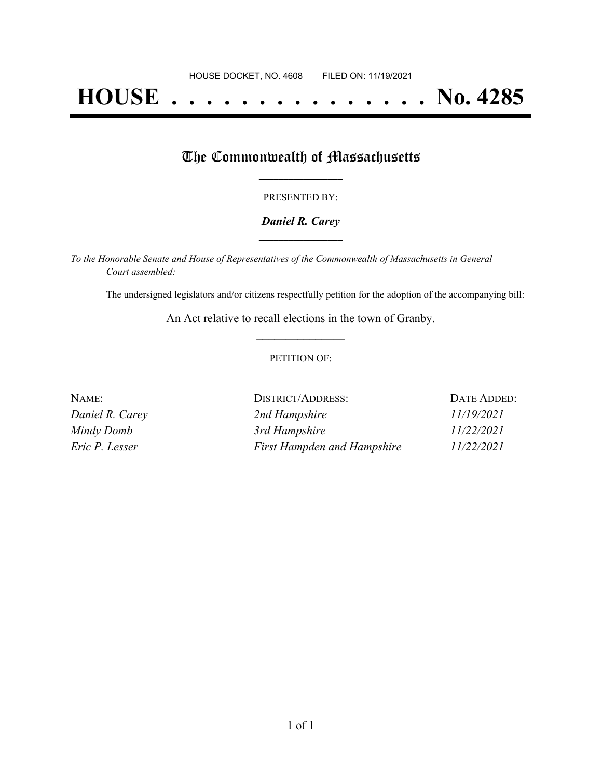# **HOUSE . . . . . . . . . . . . . . . No. 4285**

### The Commonwealth of Massachusetts

#### PRESENTED BY:

#### *Daniel R. Carey* **\_\_\_\_\_\_\_\_\_\_\_\_\_\_\_\_\_**

*To the Honorable Senate and House of Representatives of the Commonwealth of Massachusetts in General Court assembled:*

The undersigned legislators and/or citizens respectfully petition for the adoption of the accompanying bill:

An Act relative to recall elections in the town of Granby. **\_\_\_\_\_\_\_\_\_\_\_\_\_\_\_**

#### PETITION OF:

| $NAME$ :        | DISTRICT/ADDRESS:                  | DATE ADDED: |
|-----------------|------------------------------------|-------------|
| Daniel R. Carey | 2nd Hampshire                      | 11/19/2021  |
| Mindy Domb      | 3rd Hampshire                      | 11/22/2021  |
| Eric P. Lesser  | <b>First Hampden and Hampshire</b> | 11/22/2021  |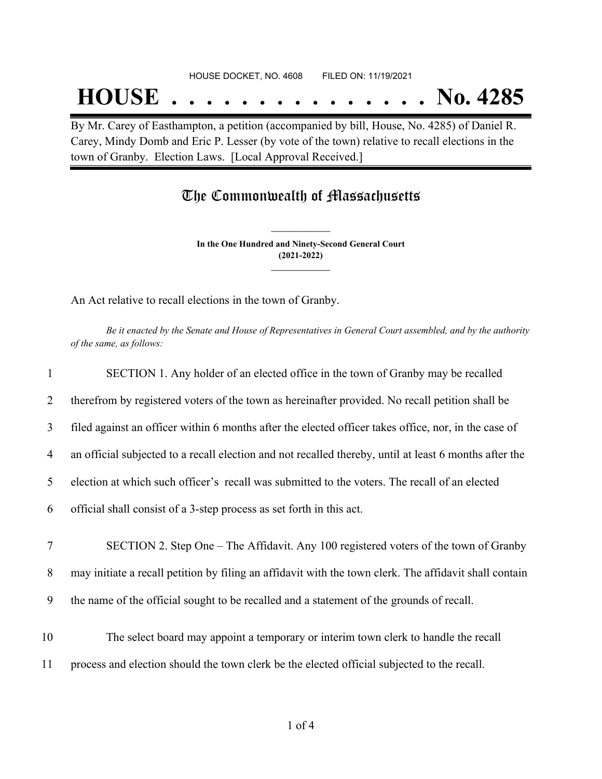## **HOUSE . . . . . . . . . . . . . . . No. 4285**

By Mr. Carey of Easthampton, a petition (accompanied by bill, House, No. 4285) of Daniel R. Carey, Mindy Domb and Eric P. Lesser (by vote of the town) relative to recall elections in the town of Granby. Election Laws. [Local Approval Received.]

### The Commonwealth of Massachusetts

**In the One Hundred and Ninety-Second General Court (2021-2022) \_\_\_\_\_\_\_\_\_\_\_\_\_\_\_**

**\_\_\_\_\_\_\_\_\_\_\_\_\_\_\_**

An Act relative to recall elections in the town of Granby.

Be it enacted by the Senate and House of Representatives in General Court assembled, and by the authority *of the same, as follows:*

| $\mathbf{1}$ | SECTION 1. Any holder of an elected office in the town of Granby may be recalled                       |
|--------------|--------------------------------------------------------------------------------------------------------|
| 2            | therefrom by registered voters of the town as hereinafter provided. No recall petition shall be        |
| 3            | filed against an officer within 6 months after the elected officer takes office, nor, in the case of   |
| 4            | an official subjected to a recall election and not recalled thereby, until at least 6 months after the |
| 5            | election at which such officer's recall was submitted to the voters. The recall of an elected          |
| 6            | official shall consist of a 3-step process as set forth in this act.                                   |
|              |                                                                                                        |
| $\tau$       | SECTION 2. Step One - The Affidavit. Any 100 registered voters of the town of Granby                   |
| 8            | may initiate a recall petition by filing an affidavit with the town clerk. The affidavit shall contain |
| 9            | the name of the official sought to be recalled and a statement of the grounds of recall.               |
|              |                                                                                                        |
| 10           | The select board may appoint a temporary or interim town clerk to handle the recall                    |
| 11           | process and election should the town clerk be the elected official subjected to the recall.            |
|              |                                                                                                        |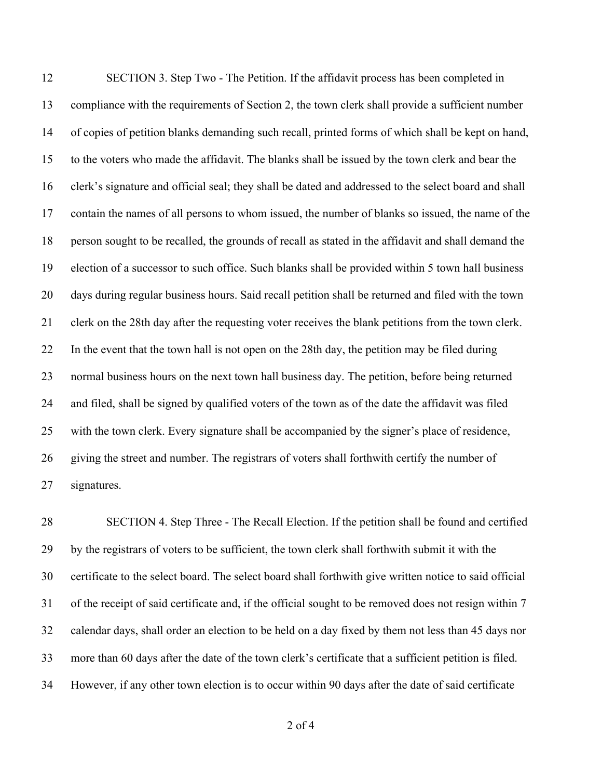SECTION 3. Step Two - The Petition. If the affidavit process has been completed in compliance with the requirements of Section 2, the town clerk shall provide a sufficient number of copies of petition blanks demanding such recall, printed forms of which shall be kept on hand, to the voters who made the affidavit. The blanks shall be issued by the town clerk and bear the clerk's signature and official seal; they shall be dated and addressed to the select board and shall contain the names of all persons to whom issued, the number of blanks so issued, the name of the person sought to be recalled, the grounds of recall as stated in the affidavit and shall demand the election of a successor to such office. Such blanks shall be provided within 5 town hall business days during regular business hours. Said recall petition shall be returned and filed with the town clerk on the 28th day after the requesting voter receives the blank petitions from the town clerk. In the event that the town hall is not open on the 28th day, the petition may be filed during normal business hours on the next town hall business day. The petition, before being returned and filed, shall be signed by qualified voters of the town as of the date the affidavit was filed with the town clerk. Every signature shall be accompanied by the signer's place of residence, 26 giving the street and number. The registrars of voters shall forthwith certify the number of signatures.

 SECTION 4. Step Three - The Recall Election. If the petition shall be found and certified by the registrars of voters to be sufficient, the town clerk shall forthwith submit it with the certificate to the select board. The select board shall forthwith give written notice to said official of the receipt of said certificate and, if the official sought to be removed does not resign within 7 calendar days, shall order an election to be held on a day fixed by them not less than 45 days nor more than 60 days after the date of the town clerk's certificate that a sufficient petition is filed. However, if any other town election is to occur within 90 days after the date of said certificate

of 4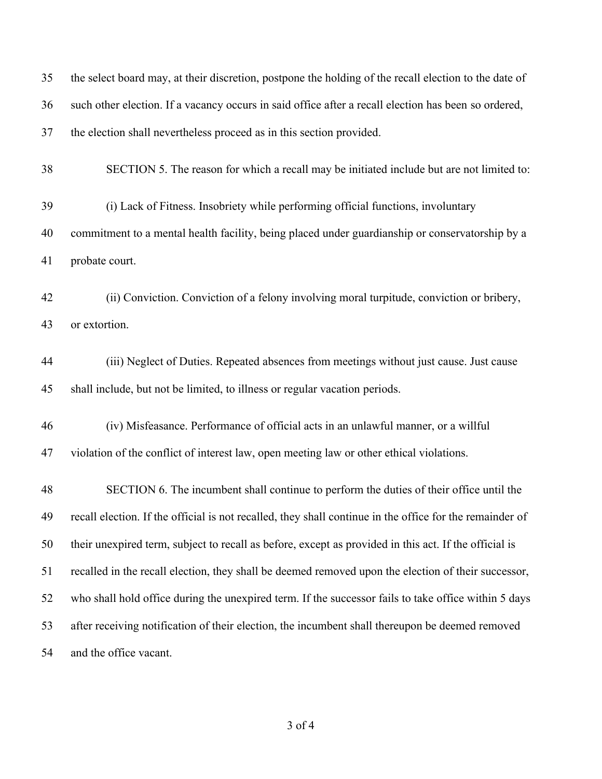| 35 | the select board may, at their discretion, postpone the holding of the recall election to the date of    |
|----|----------------------------------------------------------------------------------------------------------|
| 36 | such other election. If a vacancy occurs in said office after a recall election has been so ordered,     |
| 37 | the election shall nevertheless proceed as in this section provided.                                     |
| 38 | SECTION 5. The reason for which a recall may be initiated include but are not limited to:                |
| 39 | (i) Lack of Fitness. Insobriety while performing official functions, involuntary                         |
| 40 | commitment to a mental health facility, being placed under guardianship or conservatorship by a          |
| 41 | probate court.                                                                                           |
| 42 | (ii) Conviction. Conviction of a felony involving moral turpitude, conviction or bribery,                |
| 43 | or extortion.                                                                                            |
| 44 | (iii) Neglect of Duties. Repeated absences from meetings without just cause. Just cause                  |
| 45 | shall include, but not be limited, to illness or regular vacation periods.                               |
| 46 | (iv) Misfeasance. Performance of official acts in an unlawful manner, or a willful                       |
| 47 | violation of the conflict of interest law, open meeting law or other ethical violations.                 |
| 48 | SECTION 6. The incumbent shall continue to perform the duties of their office until the                  |
| 49 | recall election. If the official is not recalled, they shall continue in the office for the remainder of |
| 50 | their unexpired term, subject to recall as before, except as provided in this act. If the official is    |
| 51 | recalled in the recall election, they shall be deemed removed upon the election of their successor,      |
| 52 | who shall hold office during the unexpired term. If the successor fails to take office within 5 days     |
| 53 | after receiving notification of their election, the incumbent shall thereupon be deemed removed          |
| 54 | and the office vacant.                                                                                   |